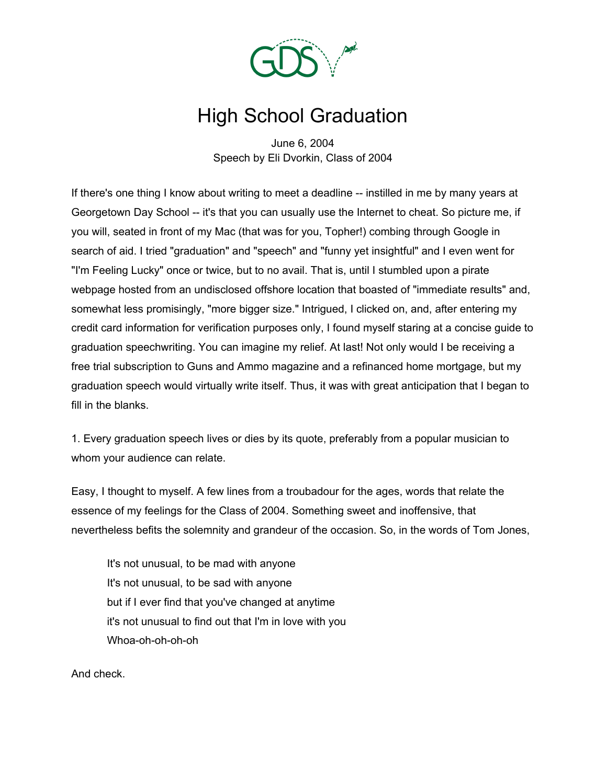

## High School Graduation

June 6, 2004 Speech by Eli Dvorkin, Class of 2004

If there's one thing I know about writing to meet a deadline -- instilled in me by many years at Georgetown Day School -- it's that you can usually use the Internet to cheat. So picture me, if you will, seated in front of my Mac (that was for you, Topher!) combing through Google in search of aid. I tried "graduation" and "speech" and "funny yet insightful" and I even went for "I'm Feeling Lucky" once or twice, but to no avail. That is, until I stumbled upon a pirate webpage hosted from an undisclosed offshore location that boasted of "immediate results" and, somewhat less promisingly, "more bigger size." Intrigued, I clicked on, and, after entering my credit card information for verification purposes only, I found myself staring at a concise guide to graduation speechwriting. You can imagine my relief. At last! Not only would I be receiving a free trial subscription to Guns and Ammo magazine and a refinanced home mortgage, but my graduation speech would virtually write itself. Thus, it was with great anticipation that I began to fill in the blanks.

1. Every graduation speech lives or dies by its quote, preferably from a popular musician to whom your audience can relate.

Easy, I thought to myself. A few lines from a troubadour for the ages, words that relate the essence of my feelings for the Class of 2004. Something sweet and inoffensive, that nevertheless befits the solemnity and grandeur of the occasion. So, in the words of Tom Jones,

It's not unusual, to be mad with anyone It's not unusual, to be sad with anyone but if I ever find that you've changed at anytime it's not unusual to find out that I'm in love with you Whoa-oh-oh-oh-oh

And check.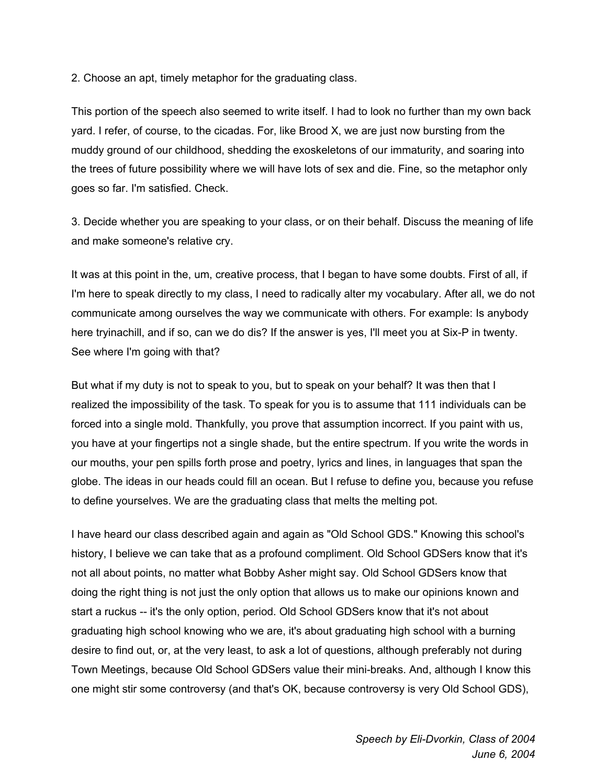2. Choose an apt, timely metaphor for the graduating class.

This portion of the speech also seemed to write itself. I had to look no further than my own back yard. I refer, of course, to the cicadas. For, like Brood X, we are just now bursting from the muddy ground of our childhood, shedding the exoskeletons of our immaturity, and soaring into the trees of future possibility where we will have lots of sex and die. Fine, so the metaphor only goes so far. I'm satisfied. Check.

3. Decide whether you are speaking to your class, or on their behalf. Discuss the meaning of life and make someone's relative cry.

It was at this point in the, um, creative process, that I began to have some doubts. First of all, if I'm here to speak directly to my class, I need to radically alter my vocabulary. After all, we do not communicate among ourselves the way we communicate with others. For example: Is anybody here tryinachill, and if so, can we do dis? If the answer is yes, I'll meet you at Six-P in twenty. See where I'm going with that?

But what if my duty is not to speak to you, but to speak on your behalf? It was then that I realized the impossibility of the task. To speak for you is to assume that 111 individuals can be forced into a single mold. Thankfully, you prove that assumption incorrect. If you paint with us, you have at your fingertips not a single shade, but the entire spectrum. If you write the words in our mouths, your pen spills forth prose and poetry, lyrics and lines, in languages that span the globe. The ideas in our heads could fill an ocean. But I refuse to define you, because you refuse to define yourselves. We are the graduating class that melts the melting pot.

I have heard our class described again and again as "Old School GDS." Knowing this school's history, I believe we can take that as a profound compliment. Old School GDSers know that it's not all about points, no matter what Bobby Asher might say. Old School GDSers know that doing the right thing is not just the only option that allows us to make our opinions known and start a ruckus -- it's the only option, period. Old School GDSers know that it's not about graduating high school knowing who we are, it's about graduating high school with a burning desire to find out, or, at the very least, to ask a lot of questions, although preferably not during Town Meetings, because Old School GDSers value their mini-breaks. And, although I know this one might stir some controversy (and that's OK, because controversy is very Old School GDS),